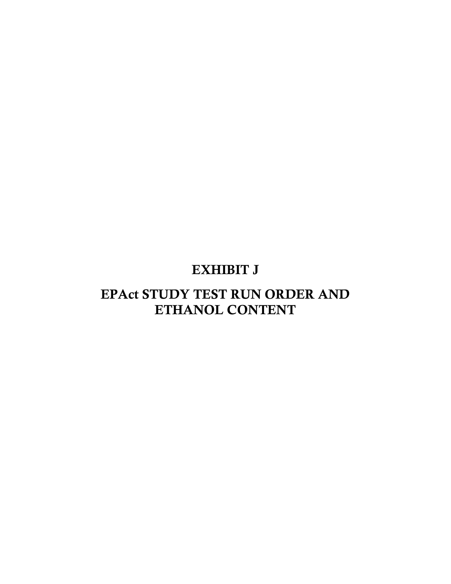## EXHIBIT J

## EPAct STUDY TEST RUN ORDER AND ETHANOL CONTENT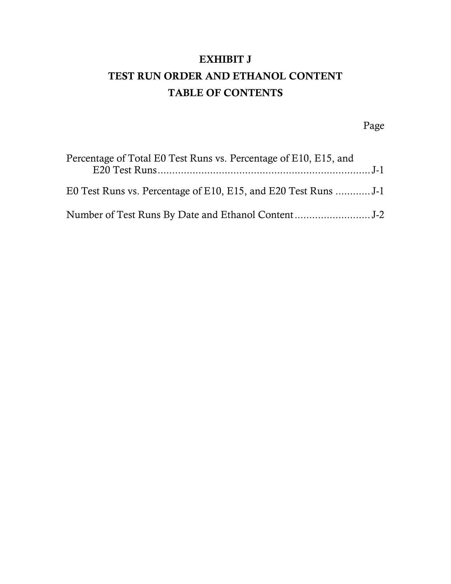## EXHIBIT J TEST RUN ORDER AND ETHANOL CONTENT TABLE OF CONTENTS

Page

| Percentage of Total E0 Test Runs vs. Percentage of E10, E15, and |  |
|------------------------------------------------------------------|--|
|                                                                  |  |
|                                                                  |  |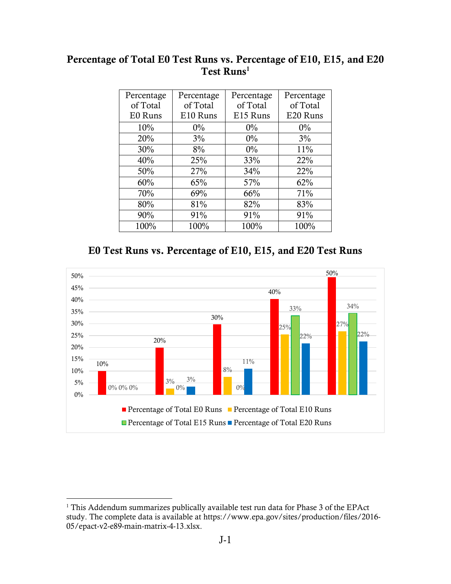## <span id="page-2-0"></span> Percentage of Total E0 Test Runs vs. Percentage of E10, E15, and E20 Test Runs<sup>1</sup>

| Percentage | Percentage | Percentage | Percentage |
|------------|------------|------------|------------|
| of Total   | of Total   | of Total   | of Total   |
| E0 Runs    | E10 Runs   | E15 Runs   | E20 Runs   |
| 10%        | $0\%$      | $0\%$      | $0\%$      |
| 20%        | 3%         | 0%         | $3\%$      |
| 30%        | 8%         | $0\%$      | 11%        |
| 40%        | 25%        | 33%        | 22%        |
| 50%        | 27%        | 34%        | 22%        |
| 60%        | 65%        | 57%        | 62%        |
| 70%        | 69%        | 66%        | 71%        |
| 80%        | 81%        | 82%        | 83%        |
| 90%        | 91%        | 91%        | 91%        |
| 100%       | 100%       | 100%       | 100%       |

E0 Test Runs vs. Percentage of E10, E15, and E20 Test Runs



 $\overline{a}$ 

 $1$  This Addendum summarizes publically available test run data for Phase 3 of the EPAct study. The complete data is available at [https://www.epa.gov/sites/production/files/2016-](https://www.epa.gov/sites/production/files/2016-05/epact-v2-e89-main-matrix-4-13.xlsx) [05/epact-v2-e89-main-matrix-4-13.xlsx.](https://www.epa.gov/sites/production/files/2016-05/epact-v2-e89-main-matrix-4-13.xlsx)